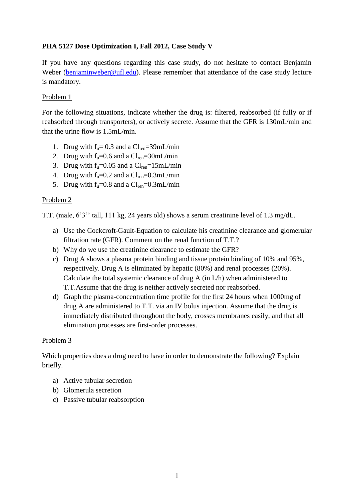## **PHA 5127 Dose Optimization I, Fall 2012, Case Study V**

If you have any questions regarding this case study, do not hesitate to contact Benjamin Weber [\(benjaminweber@ufl.edu\)](mailto:benjaminweber@ufl.edu). Please remember that attendance of the case study lecture is mandatory.

#### Problem 1

For the following situations, indicate whether the drug is: filtered, reabsorbed (if fully or if reabsorbed through transporters), or actively secrete. Assume that the GFR is 130mL/min and that the urine flow is 1.5mL/min.

- 1. Drug with  $f<sub>u</sub> = 0.3$  and a  $Cl<sub>ren</sub> = 39$ mL/min
- 2. Drug with  $f<sub>u</sub>=0.6$  and a  $Cl<sub>ren</sub>=30$ mL/min
- 3. Drug with  $f_u=0.05$  and a  $Cl_{ren}=15$ mL/min
- 4. Drug with  $f<sub>u</sub>=0.2$  and a  $Cl<sub>ren</sub>=0.3$ mL/min
- 5. Drug with  $f_u=0.8$  and a  $Cl_{ren}=0.3$ mL/min

## Problem 2

T.T. (male, 6'3'' tall, 111 kg, 24 years old) shows a serum creatinine level of 1.3 mg/dL.

- a) Use the Cockcroft-Gault-Equation to calculate his creatinine clearance and glomerular filtration rate (GFR). Comment on the renal function of T.T.?
- b) Why do we use the creatinine clearance to estimate the GFR?
- c) Drug A shows a plasma protein binding and tissue protein binding of 10% and 95%, respectively. Drug A is eliminated by hepatic (80%) and renal processes (20%). Calculate the total systemic clearance of drug A (in L/h) when administered to T.T.Assume that the drug is neither actively secreted nor reabsorbed.
- d) Graph the plasma-concentration time profile for the first 24 hours when 1000mg of drug A are administered to T.T. via an IV bolus injection. Assume that the drug is immediately distributed throughout the body, crosses membranes easily, and that all elimination processes are first-order processes.

#### Problem 3

Which properties does a drug need to have in order to demonstrate the following? Explain briefly.

- a) Active tubular secretion
- b) Glomerula secretion
- c) Passive tubular reabsorption